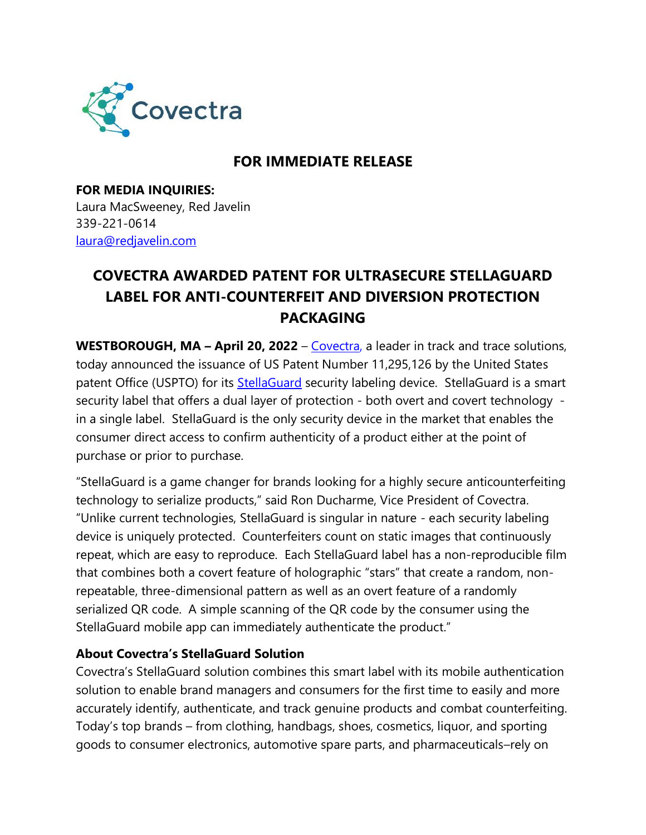

## **FOR IMMEDIATE RELEASE**

**FOR MEDIA INQUIRIES:**  Laura MacSweeney, Red Javelin [339-221-0614](about:blank) [laura@redjavelin.com](about:blank)

## **COVECTRA AWARDED PATENT FOR ULTRASECURE STELLAGUARD LABEL FOR ANTI-COUNTERFEIT AND DIVERSION PROTECTION PACKAGING**

**WESTBOROUGH, MA – April 20, 2022** – [Covectra,](about:blank) a leader in track and trace solutions, today announced the issuance of US Patent Number 11,295,126 by the United States patent Office (USPTO) for its [StellaGuard](about:blank) security labeling device. StellaGuard is a smart security label that offers a dual layer of protection - both overt and covert technology in a single label. StellaGuard is the only security device in the market that enables the consumer direct access to confirm authenticity of a product either at the point of purchase or prior to purchase.

"StellaGuard is a game changer for brands looking for a highly secure anticounterfeiting technology to serialize products," said Ron Ducharme, Vice President of Covectra. "Unlike current technologies, StellaGuard is singular in nature - each security labeling device is uniquely protected. Counterfeiters count on static images that continuously repeat, which are easy to reproduce. Each StellaGuard label has a non-reproducible film that combines both a covert feature of holographic "stars" that create a random, nonrepeatable, three-dimensional pattern as well as an overt feature of a randomly serialized QR code. A simple scanning of the QR code by the consumer using the StellaGuard mobile app can immediately authenticate the product."

## **About Covectra's StellaGuard Solution**

Covectra's StellaGuard solution combines this smart label with its mobile authentication solution to enable brand managers and consumers for the first time to easily and more accurately identify, authenticate, and track genuine products and combat counterfeiting. Today's top brands – from clothing, handbags, shoes, cosmetics, liquor, and sporting goods to consumer electronics, automotive spare parts, and pharmaceuticals–rely on